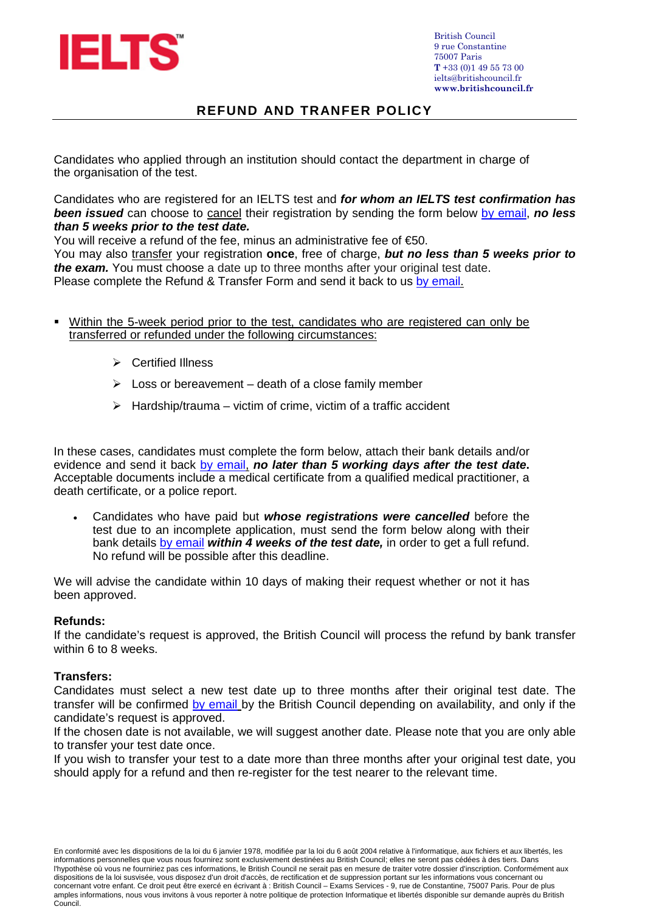

## **REFUND AND TRANFER POLICY**

Candidates who applied through an institution should contact the department in charge of the organisation of the test.

Candidates who are registered for an IELTS test and *for whom an IELTS test confirmation has*  **been issued** can choose to cancel their registration by sending the form below by email, **no less** *than 5 weeks prior to the test date.* 

You will receive a refund of the fee, minus an administrative fee of  $\epsilon$ 50.

You may also transfer your registration **once**, free of charge, *but no less than 5 weeks prior to the exam.* You must choose a date up to three months after your original test date. Please complete the Refund & Transfer Form and send it back to us by email.

- Within the 5-week period prior to the test, candidates who are registered can only be transferred or refunded under the following circumstances:
	- **▶ Certified Illness**
	- $\triangleright$  Loss or bereavement death of a close family member
	- $\triangleright$  Hardship/trauma victim of crime, victim of a traffic accident

In these cases, candidates must complete the form below, attach their bank details and/or evidence and send it back by email, *no later than 5 working days after the test date***.** Acceptable documents include a medical certificate from a qualified medical practitioner, a death certificate, or a police report.

• Candidates who have paid but *whose registrations were cancelled* before the test due to an incomplete application, must send the form below along with their bank details by email *within 4 weeks of the test date,* in order to get a full refund. No refund will be possible after this deadline.

We will advise the candidate within 10 days of making their request whether or not it has been approved.

### **Refunds:**

If the candidate's request is approved, the British Council will process the refund by bank transfer within 6 to 8 weeks.

### **Transfers:**

Candidates must select a new test date up to three months after their original test date. The transfer will be confirmed by email by the British Council depending on availability, and only if the candidate's request is approved.

If the chosen date is not available, we will suggest another date. Please note that you are only able to transfer your test date once.

If you wish to transfer your test to a date more than three months after your original test date, you should apply for a refund and then re-register for the test nearer to the relevant time.

En conformité avec les dispositions de la loi du 6 janvier 1978, modifiée par la loi du 6 août 2004 relative à l'informatique, aux fichiers et aux libertés, les informations personnelles que vous nous fournirez sont exclusivement destinées au British Council; elles ne seront pas cédées à des tiers. Dans l'hypothèse où vous ne fourniriez pas ces informations, le British Council ne serait pas en mesure de traiter votre dossier d'inscription. Conformément aux dispositions de la loi susvisée, vous disposez d'un droit d'accès, de rectification et de suppression portant sur les informations vous concernant ou concernant votre enfant. Ce droit peut être exercé en écrivant à : British Council – Exams Services - 9, rue de Constantine, 75007 Paris. Pour de plus amples informations, nous vous invitons à vous reporter à notre politique de protection Informatique et libertés disponible sur demande auprès du British Council.